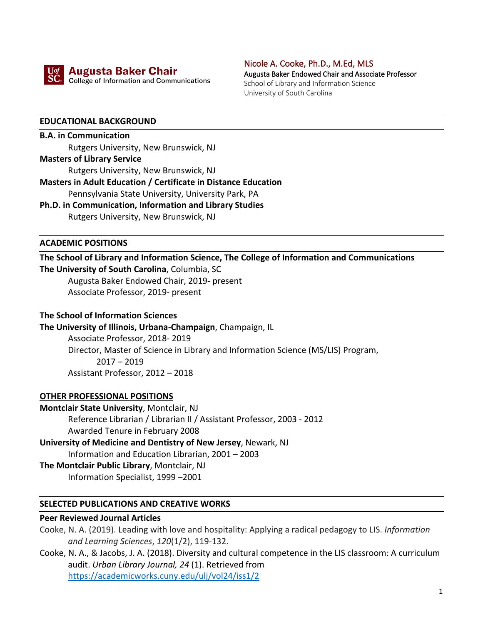

**Augusta Baker Chair SC.** College of Information and Communications Nicole A. Cooke, Ph.D., M.Ed, MLS Augusta Baker Endowed Chair and Associate Professor School of Library and Information Science University of South Carolina

#### **EDUCATIONAL BACKGROUND**

**B.A. in Communication**  Rutgers University, New Brunswick, NJ **Masters of Library Service**

Rutgers University, New Brunswick, NJ

# **Masters in Adult Education / Certificate in Distance Education**

Pennsylvania State University, University Park, PA

**Ph.D. in Communication, Information and Library Studies**  Rutgers University, New Brunswick, NJ

#### **ACADEMIC POSITIONS**

# **The School of Library and Information Science, The College of Information and Communications**

**The University of South Carolina**, Columbia, SC Augusta Baker Endowed Chair, 2019- present

Associate Professor, 2019- present

#### **The School of Information Sciences**

**The University of Illinois, Urbana-Champaign**, Champaign, IL

Associate Professor, 2018- 2019 Director, Master of Science in Library and Information Science (MS/LIS) Program, 2017 – 2019 Assistant Professor, 2012 – 2018

#### **OTHER PROFESSIONAL POSITIONS**

## **Montclair State University**, Montclair, NJ Reference Librarian / Librarian II / Assistant Professor, 2003 - 2012 Awarded Tenure in February 2008

**University of Medicine and Dentistry of New Jersey**, Newark, NJ Information and Education Librarian, 2001 – 2003 **The Montclair Public Library**, Montclair, NJ

Information Specialist, 1999 –2001

#### **SELECTED PUBLICATIONS AND CREATIVE WORKS**

#### **Peer Reviewed Journal Articles**

Cooke, N. A. (2019). Leading with love and hospitality: Applying a radical pedagogy to LIS. *Information and Learning Sciences*, *120*(1/2), 119-132.

Cooke, N. A., & Jacobs, J. A. (2018). Diversity and cultural competence in the LIS classroom: A curriculum audit. *Urban Library Journal, 24* (1). Retrieved from https://academicworks.cuny.edu/ulj/vol24/iss1/2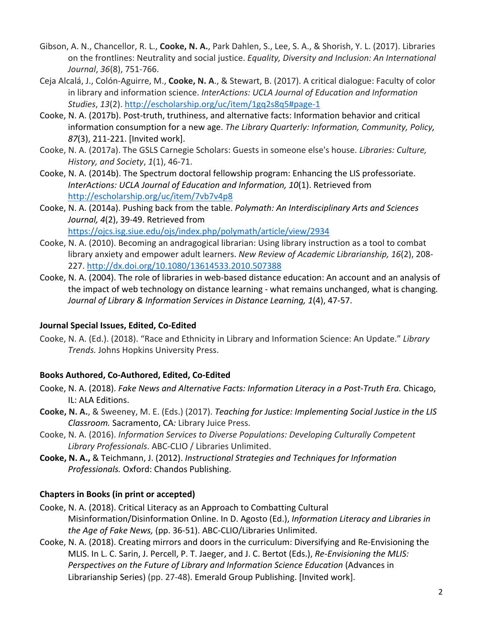- Gibson, A. N., Chancellor, R. L., **Cooke, N. A.**, Park Dahlen, S., Lee, S. A., & Shorish, Y. L. (2017). Libraries on the frontlines: Neutrality and social justice. *Equality, Diversity and Inclusion: An International Journal*, *36*(8), 751-766.
- Ceja Alcalá, J., Colón-Aguirre, M., **Cooke, N. A**., & Stewart, B. (2017). A critical dialogue: Faculty of color in library and information science. *InterActions: UCLA Journal of Education and Information Studies*, *13*(2). http://escholarship.org/uc/item/1gq2s8q5#page-1
- Cooke, N. A. (2017b). Post-truth, truthiness, and alternative facts: Information behavior and critical information consumption for a new age. *The Library Quarterly: Information, Community, Policy, 87*(3), 211-221. [Invited work].
- Cooke, N. A. (2017a). The GSLS Carnegie Scholars: Guests in someone else's house. *Libraries: Culture, History, and Society*, *1*(1), 46-71.
- Cooke, N. A. (2014b). The Spectrum doctoral fellowship program: Enhancing the LIS professoriate. *InterActions: UCLA Journal of Education and Information, 10*(1). Retrieved from http://escholarship.org/uc/item/7vb7v4p8
- Cooke, N. A. (2014a). Pushing back from the table. *Polymath: An Interdisciplinary Arts and Sciences Journal, 4*(2), 39-49. Retrieved from https://ojcs.isg.siue.edu/ojs/index.php/polymath/article/view/2934
- Cooke, N. A. (2010). Becoming an andragogical librarian: Using library instruction as a tool to combat library anxiety and empower adult learners. *New Review of Academic Librarianship, 16*(2), 208- 227. http://dx.doi.org/10.1080/13614533.2010.507388
- Cooke, N. A. (2004). The role of libraries in web-based distance education: An account and an analysis of the impact of web technology on distance learning - what remains unchanged, what is changing*. Journal of Library & Information Services in Distance Learning, 1*(4), 47-57.

### **Journal Special Issues, Edited, Co-Edited**

Cooke, N. A. (Ed.). (2018). "Race and Ethnicity in Library and Information Science: An Update." *Library Trends.* Johns Hopkins University Press.

### **Books Authored, Co-Authored, Edited, Co-Edited**

- Cooke, N. A. (2018). *Fake News and Alternative Facts: Information Literacy in a Post-Truth Era.* Chicago, IL: ALA Editions.
- **Cooke, N. A.**, & Sweeney, M. E. (Eds.) (2017). *Teaching for Justice: Implementing Social Justice in the LIS Classroom.* Sacramento, CA*:* Library Juice Press.
- Cooke, N. A. (2016). *Information Services to Diverse Populations: Developing Culturally Competent Library Professionals*. ABC-CLIO / Libraries Unlimited.
- **Cooke, N. A.,** & Teichmann, J. (2012). *Instructional Strategies and Techniques for Information Professionals.* Oxford: Chandos Publishing.

### **Chapters in Books (in print or accepted)**

- Cooke, N. A. (2018). Critical Literacy as an Approach to Combatting Cultural Misinformation/Disinformation Online. In D. Agosto (Ed.), *Information Literacy and Libraries in the Age of Fake News,* (pp. 36-51). ABC-CLIO/Libraries Unlimited.
- Cooke, N. A. (2018). Creating mirrors and doors in the curriculum: Diversifying and Re-Envisioning the MLIS. In L. C. Sarin, J. Percell, P. T. Jaeger, and J. C. Bertot (Eds.), *Re-Envisioning the MLIS: Perspectives on the Future of Library and Information Science Education* (Advances in Librarianship Series) (pp. 27-48). Emerald Group Publishing. [Invited work].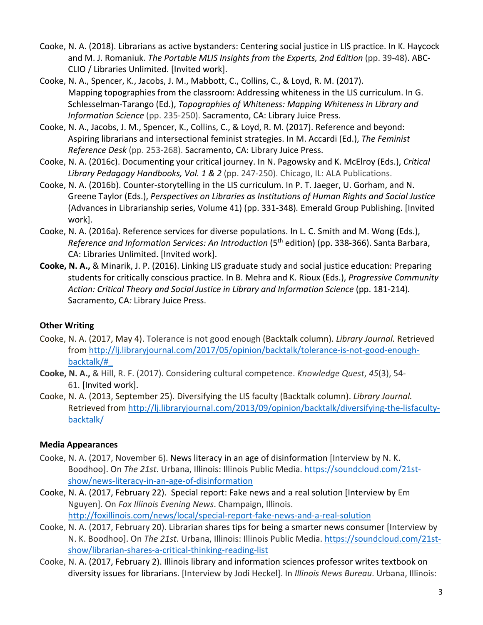- Cooke, N. A. (2018). Librarians as active bystanders: Centering social justice in LIS practice. In K. Haycock and M. J. Romaniuk. *The Portable MLIS Insights from the Experts, 2nd Edition* (pp. 39-48). ABC-CLIO / Libraries Unlimited. [Invited work].
- Cooke, N. A., Spencer, K., Jacobs, J. M., Mabbott, C., Collins, C., & Loyd, R. M. (2017). Mapping topographies from the classroom: Addressing whiteness in the LIS curriculum. In G. Schlesselman-Tarango (Ed.), *Topographies of Whiteness: Mapping Whiteness in Library and Information Science* (pp. 235-250). Sacramento, CA: Library Juice Press.
- Cooke, N. A., Jacobs, J. M., Spencer, K., Collins, C., & Loyd, R. M. (2017). Reference and beyond: Aspiring librarians and intersectional feminist strategies. In M. Accardi (Ed.), *The Feminist Reference Desk* (pp. 253-268). Sacramento, CA: Library Juice Press.
- Cooke, N. A. (2016c). Documenting your critical journey. In N. Pagowsky and K. McElroy (Eds.), *Critical Library Pedagogy Handbooks, Vol. 1 & 2* (pp. 247-250). Chicago, IL: ALA Publications.
- Cooke, N. A. (2016b). Counter-storytelling in the LIS curriculum. In P. T. Jaeger, U. Gorham, and N. Greene Taylor (Eds.), *Perspectives on Libraries as Institutions of Human Rights and Social Justice*  (Advances in Librarianship series, Volume 41) (pp. 331-348)*.* Emerald Group Publishing. [Invited work].
- Cooke, N. A. (2016a). Reference services for diverse populations. In L. C. Smith and M. Wong (Eds.), *Reference and Information Services: An Introduction* (5th edition) (pp. 338-366). Santa Barbara, CA: Libraries Unlimited. [Invited work].
- **Cooke, N. A.,** & Minarik, J. P. (2016). Linking LIS graduate study and social justice education: Preparing students for critically conscious practice. In B. Mehra and K. Rioux (Eds.), *Progressive Community*  Action: Critical Theory and Social Justice in Library and Information Science (pp. 181-214). Sacramento, CA*:* Library Juice Press.

### **Other Writing**

- Cooke, N. A. (2017, May 4). Tolerance is not good enough (Backtalk column). *Library Journal.* Retrieved from http://lj.libraryjournal.com/2017/05/opinion/backtalk/tolerance-is-not-good-enoughbacktalk/#\_
- **Cooke, N. A.,** & Hill, R. F. (2017). Considering cultural competence. *Knowledge Quest*, *45*(3), 54- 61. [Invited work].
- Cooke, N. A. (2013, September 25). Diversifying the LIS faculty (Backtalk column). *Library Journal.* Retrieved from http://lj.libraryjournal.com/2013/09/opinion/backtalk/diversifying-the-lisfacultybacktalk/

### **Media Appearances**

- Cooke, N. A. (2017, November 6). News literacy in an age of disinformation [Interview by N. K. Boodhoo]. On *The 21st*. Urbana, Illinois: Illinois Public Media. https://soundcloud.com/21stshow/news-literacy-in-an-age-of-disinformation
- Cooke, N. A. (2017, February 22). Special report: Fake news and a real solution [Interview by Em Nguyen]. On *Fox Illinois Evening News*. Champaign, Illinois. http://foxillinois.com/news/local/special-report-fake-news-and-a-real-solution
- Cooke, N. A. (2017, February 20). Librarian shares tips for being a smarter news consumer [Interview by N. K. Boodhoo]. On *The 21st*. Urbana, Illinois: Illinois Public Media. https://soundcloud.com/21stshow/librarian-shares-a-critical-thinking-reading-list
- Cooke, N. A. (2017, February 2). Illinois library and information sciences professor writes textbook on diversity issues for librarians. [Interview by Jodi Heckel]. In *Illinois News Bureau*. Urbana, Illinois: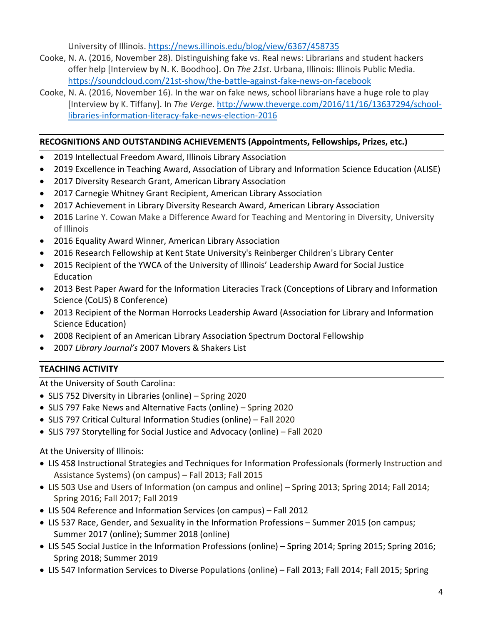University of Illinois. https://news.illinois.edu/blog/view/6367/458735

- Cooke, N. A. (2016, November 28). Distinguishing fake vs. Real news: Librarians and student hackers offer help [Interview by N. K. Boodhoo]. On *The 21st*. Urbana, Illinois: Illinois Public Media. https://soundcloud.com/21st-show/the-battle-against-fake-news-on-facebook
- Cooke, N. A. (2016, November 16). In the war on fake news, school librarians have a huge role to play [Interview by K. Tiffany]. In *The Verge*. http://www.theverge.com/2016/11/16/13637294/schoollibraries-information-literacy-fake-news-election-2016

### **RECOGNITIONS AND OUTSTANDING ACHIEVEMENTS (Appointments, Fellowships, Prizes, etc.)**

- 2019 Intellectual Freedom Award, Illinois Library Association
- 2019 Excellence in Teaching Award, Association of Library and Information Science Education (ALISE)
- 2017 Diversity Research Grant, American Library Association
- 2017 Carnegie Whitney Grant Recipient, American Library Association
- 2017 Achievement in Library Diversity Research Award, American Library Association
- 2016 Larine Y. Cowan Make a Difference Award for Teaching and Mentoring in Diversity, University of Illinois
- 2016 Equality Award Winner, American Library Association
- 2016 Research Fellowship at Kent State University's Reinberger Children's Library Center
- 2015 Recipient of the YWCA of the University of Illinois' Leadership Award for Social Justice Education
- 2013 Best Paper Award for the Information Literacies Track (Conceptions of Library and Information Science (CoLIS) 8 Conference)
- 2013 Recipient of the Norman Horrocks Leadership Award (Association for Library and Information Science Education)
- 2008 Recipient of an American Library Association Spectrum Doctoral Fellowship
- 2007 *Library Journal's* 2007 Movers & Shakers List

### **TEACHING ACTIVITY**

At the University of South Carolina:

- SLIS 752 Diversity in Libraries (online) Spring 2020
- SLIS 797 Fake News and Alternative Facts (online) Spring 2020
- SLIS 797 Critical Cultural Information Studies (online) Fall 2020
- SLIS 797 Storytelling for Social Justice and Advocacy (online) Fall 2020

### At the University of Illinois:

- LIS 458 Instructional Strategies and Techniques for Information Professionals (formerly Instruction and Assistance Systems) (on campus) – Fall 2013; Fall 2015
- LIS 503 Use and Users of Information (on campus and online) Spring 2013; Spring 2014; Fall 2014; Spring 2016; Fall 2017; Fall 2019
- LIS 504 Reference and Information Services (on campus) Fall 2012
- LIS 537 Race, Gender, and Sexuality in the Information Professions Summer 2015 (on campus; Summer 2017 (online); Summer 2018 (online)
- LIS 545 Social Justice in the Information Professions (online) Spring 2014; Spring 2015; Spring 2016; Spring 2018; Summer 2019
- LIS 547 Information Services to Diverse Populations (online) Fall 2013; Fall 2014; Fall 2015; Spring